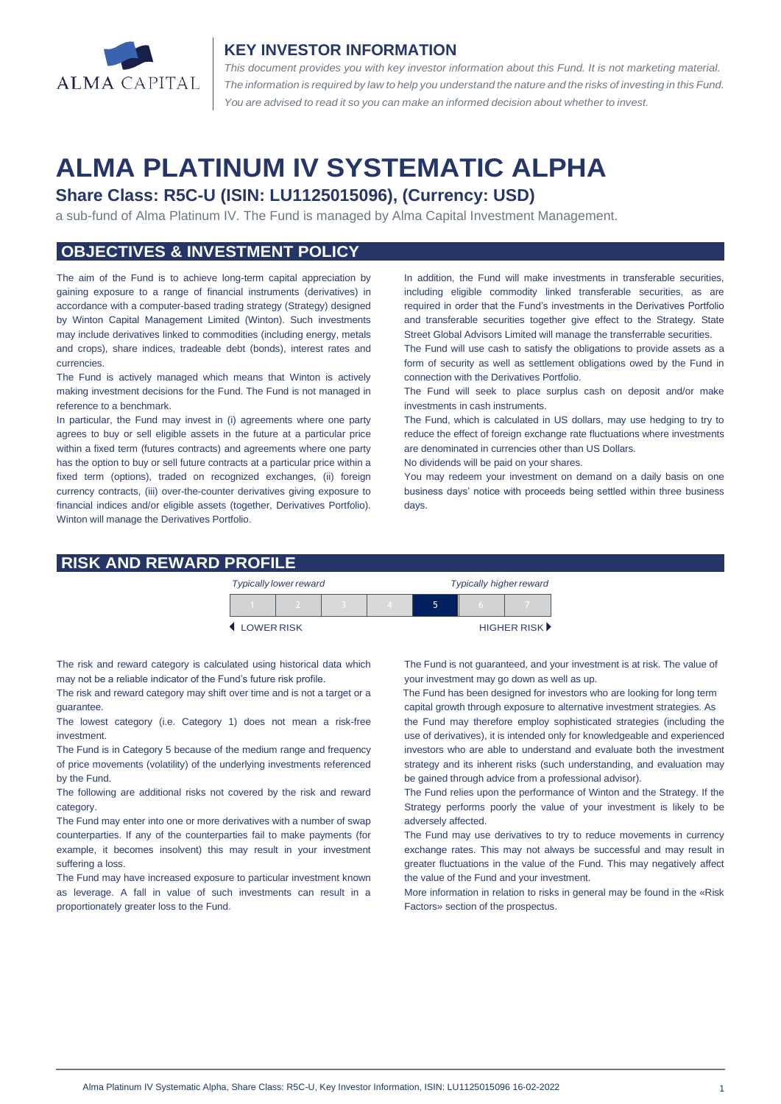

#### **KEY INVESTOR INFORMATION**

*This document provides you with key investor information about this Fund. It is not marketing material.*  The information is required by law to help you understand the nature and the risks of investing in this Fund. *You are advised to read it so you can make an informed decision about whether to invest.*

# **ALMA PLATINUM IV SYSTEMATIC ALPHA**

# **Share Class: R5C-U (ISIN: LU1125015096), (Currency: USD)**

a sub-fund of Alma Platinum IV. The Fund is managed by Alma Capital Investment Management.

# **OBJECTIVES & INVESTMENT POLICY**

The aim of the Fund is to achieve long-term capital appreciation by gaining exposure to a range of financial instruments (derivatives) in accordance with a computer-based trading strategy (Strategy) designed by Winton Capital Management Limited (Winton). Such investments may include derivatives linked to commodities (including energy, metals and crops), share indices, tradeable debt (bonds), interest rates and currencies.

The Fund is actively managed which means that Winton is actively making investment decisions for the Fund. The Fund is not managed in reference to a benchmark.

In particular, the Fund may invest in (i) agreements where one party agrees to buy or sell eligible assets in the future at a particular price within a fixed term (futures contracts) and agreements where one party has the option to buy or sell future contracts at a particular price within a fixed term (options), traded on recognized exchanges, (ii) foreign currency contracts, (iii) over-the-counter derivatives giving exposure to financial indices and/or eligible assets (together, Derivatives Portfolio). Winton will manage the Derivatives Portfolio.

In addition, the Fund will make investments in transferable securities, including eligible commodity linked transferable securities, as are required in order that the Fund's investments in the Derivatives Portfolio and transferable securities together give effect to the Strategy. State Street Global Advisors Limited will manage the transferrable securities.

The Fund will use cash to satisfy the obligations to provide assets as a form of security as well as settlement obligations owed by the Fund in connection with the Derivatives Portfolio.

The Fund will seek to place surplus cash on deposit and/or make investments in cash instruments.

The Fund, which is calculated in US dollars, may use hedging to try to reduce the effect of foreign exchange rate fluctuations where investments are denominated in currencies other than US Dollars.

No dividends will be paid on your shares.

You may redeem your investment on demand on a daily basis on one business days' notice with proceeds being settled within three business days

#### **RISK AND REWARD PROFILE**

|            | <b>Typically lower reward</b> |  | <b>Typically higher reward</b> |  |  |                             |
|------------|-------------------------------|--|--------------------------------|--|--|-----------------------------|
|            |                               |  |                                |  |  |                             |
| LOWER RISK |                               |  |                                |  |  | HIGHER RISK <sup>&gt;</sup> |

The risk and reward category is calculated using historical data which may not be a reliable indicator of the Fund's future risk profile.

The risk and reward category may shift over time and is not a target or a guarantee.

The lowest category (i.e. Category 1) does not mean a risk-free investment.

The Fund is in Category 5 because of the medium range and frequency of price movements (volatility) of the underlying investments referenced by the Fund.

The following are additional risks not covered by the risk and reward category.

The Fund may enter into one or more derivatives with a number of swap counterparties. If any of the counterparties fail to make payments (for example, it becomes insolvent) this may result in your investment suffering a loss.

The Fund may have increased exposure to particular investment known as leverage. A fall in value of such investments can result in a proportionately greater loss to the Fund.

The Fund is not guaranteed, and your investment is at risk. The value of your investment may go down as well as up.

 The Fund has been designed for investors who are looking for long term capital growth through exposure to alternative investment strategies. As

the Fund may therefore employ sophisticated strategies (including the use of derivatives), it is intended only for knowledgeable and experienced investors who are able to understand and evaluate both the investment strategy and its inherent risks (such understanding, and evaluation may be gained through advice from a professional advisor).

The Fund relies upon the performance of Winton and the Strategy. If the Strategy performs poorly the value of your investment is likely to be adversely affected.

The Fund may use derivatives to try to reduce movements in currency exchange rates. This may not always be successful and may result in greater fluctuations in the value of the Fund. This may negatively affect the value of the Fund and your investment.

More information in relation to risks in general may be found in the «Risk Factors» section of the prospectus.